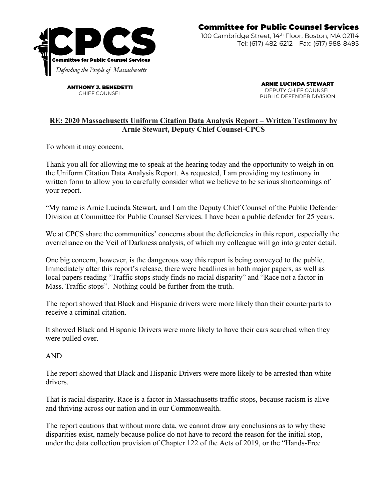

ANTHONY J. BENEDETTI CHIEF COUNSEL

ARNIE LUCINDA STEWART DEPUTY CHIEF COUNSEL PUBLIC DEFENDER DIVISION

## **RE: 2020 Massachusetts Uniform Citation Data Analysis Report – Written Testimony by Arnie Stewart, Deputy Chief Counsel-CPCS**

To whom it may concern,

Thank you all for allowing me to speak at the hearing today and the opportunity to weigh in on the Uniform Citation Data Analysis Report. As requested, I am providing my testimony in written form to allow you to carefully consider what we believe to be serious shortcomings of your report.

"My name is Arnie Lucinda Stewart, and I am the Deputy Chief Counsel of the Public Defender Division at Committee for Public Counsel Services. I have been a public defender for 25 years.

We at CPCS share the communities' concerns about the deficiencies in this report, especially the overreliance on the Veil of Darkness analysis, of which my colleague will go into greater detail.

One big concern, however, is the dangerous way this report is being conveyed to the public. Immediately after this report's release, there were headlines in both major papers, as well as local papers reading "Traffic stops study finds no racial disparity" and "Race not a factor in Mass. Traffic stops". Nothing could be further from the truth.

The report showed that Black and Hispanic drivers were more likely than their counterparts to receive a criminal citation.

It showed Black and Hispanic Drivers were more likely to have their cars searched when they were pulled over.

## AND

The report showed that Black and Hispanic Drivers were more likely to be arrested than white drivers.

That is racial disparity. Race is a factor in Massachusetts traffic stops, because racism is alive and thriving across our nation and in our Commonwealth.

The report cautions that without more data, we cannot draw any conclusions as to why these disparities exist, namely because police do not have to record the reason for the initial stop, under the data collection provision of Chapter 122 of the Acts of 2019, or the "Hands-Free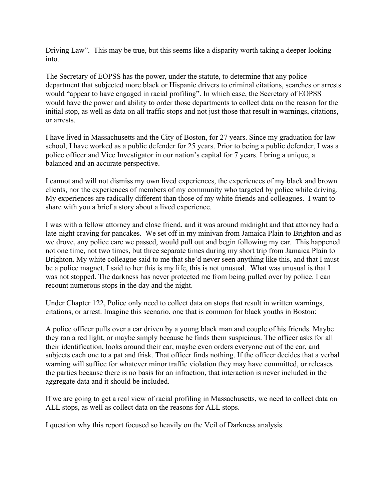Driving Law". This may be true, but this seems like a disparity worth taking a deeper looking into.

The Secretary of EOPSS has the power, under the statute, to determine that any police department that subjected more black or Hispanic drivers to criminal citations, searches or arrests would "appear to have engaged in racial profiling". In which case, the Secretary of EOPSS would have the power and ability to order those departments to collect data on the reason for the initial stop, as well as data on all traffic stops and not just those that result in warnings, citations, or arrests.

I have lived in Massachusetts and the City of Boston, for 27 years. Since my graduation for law school, I have worked as a public defender for 25 years. Prior to being a public defender, I was a police officer and Vice Investigator in our nation's capital for 7 years. I bring a unique, a balanced and an accurate perspective.

I cannot and will not dismiss my own lived experiences, the experiences of my black and brown clients, nor the experiences of members of my community who targeted by police while driving. My experiences are radically different than those of my white friends and colleagues. I want to share with you a brief a story about a lived experience.

I was with a fellow attorney and close friend, and it was around midnight and that attorney had a late-night craving for pancakes. We set off in my minivan from Jamaica Plain to Brighton and as we drove, any police care we passed, would pull out and begin following my car. This happened not one time, not two times, but three separate times during my short trip from Jamaica Plain to Brighton. My white colleague said to me that she'd never seen anything like this, and that I must be a police magnet. I said to her this is my life, this is not unusual. What was unusual is that I was not stopped. The darkness has never protected me from being pulled over by police. I can recount numerous stops in the day and the night.

Under Chapter 122, Police only need to collect data on stops that result in written warnings, citations, or arrest. Imagine this scenario, one that is common for black youths in Boston:

A police officer pulls over a car driven by a young black man and couple of his friends. Maybe they ran a red light, or maybe simply because he finds them suspicious. The officer asks for all their identification, looks around their car, maybe even orders everyone out of the car, and subjects each one to a pat and frisk. That officer finds nothing. If the officer decides that a verbal warning will suffice for whatever minor traffic violation they may have committed, or releases the parties because there is no basis for an infraction, that interaction is never included in the aggregate data and it should be included.

If we are going to get a real view of racial profiling in Massachusetts, we need to collect data on ALL stops, as well as collect data on the reasons for ALL stops.

I question why this report focused so heavily on the Veil of Darkness analysis.